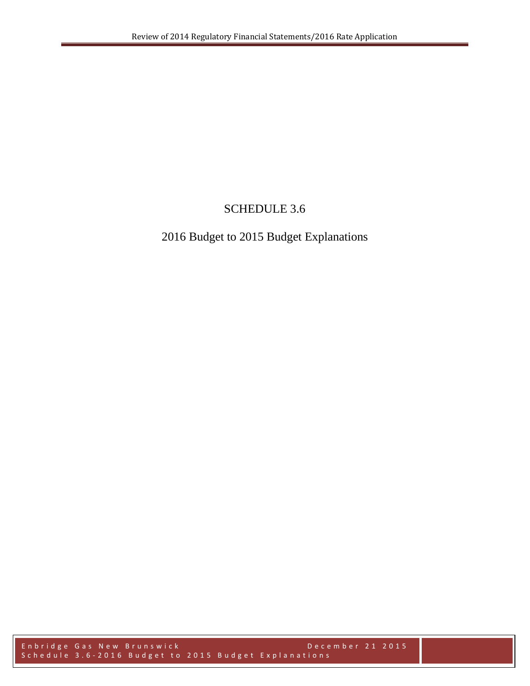# SCHEDULE 3.6

# 2016 Budget to 2015 Budget Explanations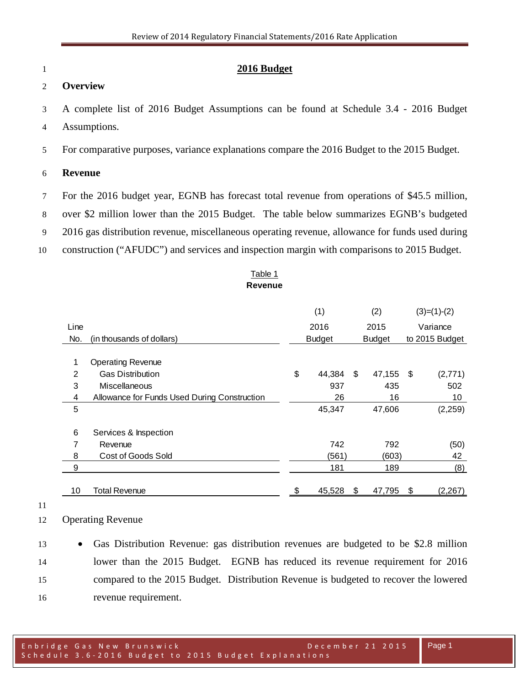#### **2016 Budget**

### **Overview**

 A complete list of 2016 Budget Assumptions can be found at Schedule 3.4 - 2016 Budget Assumptions.

For comparative purposes, variance explanations compare the 2016 Budget to the 2015 Budget.

#### **Revenue**

- For the 2016 budget year, EGNB has forecast total revenue from operations of \$45.5 million,
- over \$2 million lower than the 2015 Budget. The table below summarizes EGNB's budgeted
- 2016 gas distribution revenue, miscellaneous operating revenue, allowance for funds used during
- construction ("AFUDC") and services and inspection margin with comparisons to 2015 Budget.

#### Table 1 **Revenue**

|                |                                              | (1) |               |      | (2)           |    | $(3)=(1)-(2)$  |  |
|----------------|----------------------------------------------|-----|---------------|------|---------------|----|----------------|--|
| Line           |                                              |     | 2016          |      | 2015          |    | Variance       |  |
| No.            | (in thousands of dollars)                    |     | <b>Budget</b> |      | <b>Budget</b> |    | to 2015 Budget |  |
| 1              | <b>Operating Revenue</b>                     |     |               |      |               |    |                |  |
| $\overline{2}$ | <b>Gas Distribution</b>                      | \$  | 44,384        | - \$ | 47,155 \$     |    | (2,771)        |  |
| 3              | Miscellaneous                                |     | 937           |      | 435           |    | 502            |  |
| 4              | Allowance for Funds Used During Construction |     | 26            |      | 16            |    | 10             |  |
| 5              |                                              |     | 45,347        |      | 47,606        |    | (2,259)        |  |
| 6              | Services & Inspection                        |     |               |      |               |    |                |  |
| 7              | Revenue                                      |     | 742           |      | 792           |    | (50)           |  |
| 8              | Cost of Goods Sold                           |     | (561)         |      | (603)         |    | 42             |  |
| 9              |                                              |     | 181           |      | 189           |    | (8)            |  |
| 10             | Total Revenue                                | \$  | 45,528        | \$   | 47,795        | \$ | (2, 267)       |  |

#### 

Operating Revenue

 • Gas Distribution Revenue: gas distribution revenues are budgeted to be \$2.8 million lower than the 2015 Budget. EGNB has reduced its revenue requirement for 2016 compared to the 2015 Budget. Distribution Revenue is budgeted to recover the lowered revenue requirement.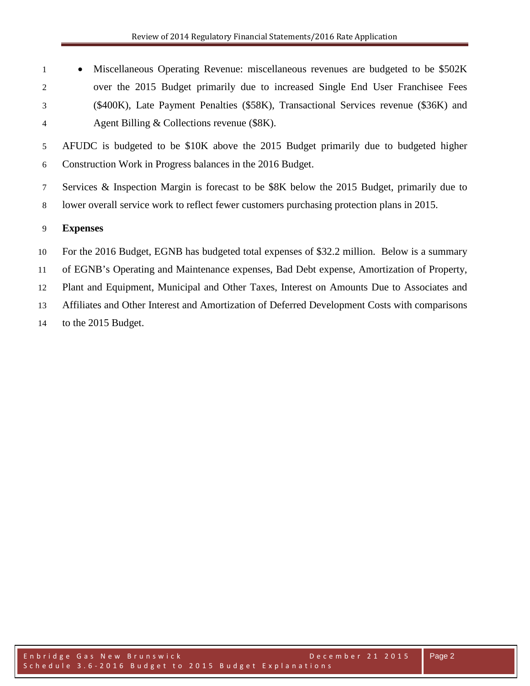• Miscellaneous Operating Revenue: miscellaneous revenues are budgeted to be \$502K over the 2015 Budget primarily due to increased Single End User Franchisee Fees (\$400K), Late Payment Penalties (\$58K), Transactional Services revenue (\$36K) and Agent Billing & Collections revenue (\$8K).

 AFUDC is budgeted to be \$10K above the 2015 Budget primarily due to budgeted higher Construction Work in Progress balances in the 2016 Budget.

 Services & Inspection Margin is forecast to be \$8K below the 2015 Budget, primarily due to lower overall service work to reflect fewer customers purchasing protection plans in 2015.

## **Expenses**

 For the 2016 Budget, EGNB has budgeted total expenses of \$32.2 million. Below is a summary of EGNB's Operating and Maintenance expenses, Bad Debt expense, Amortization of Property, Plant and Equipment, Municipal and Other Taxes, Interest on Amounts Due to Associates and Affiliates and Other Interest and Amortization of Deferred Development Costs with comparisons to the 2015 Budget.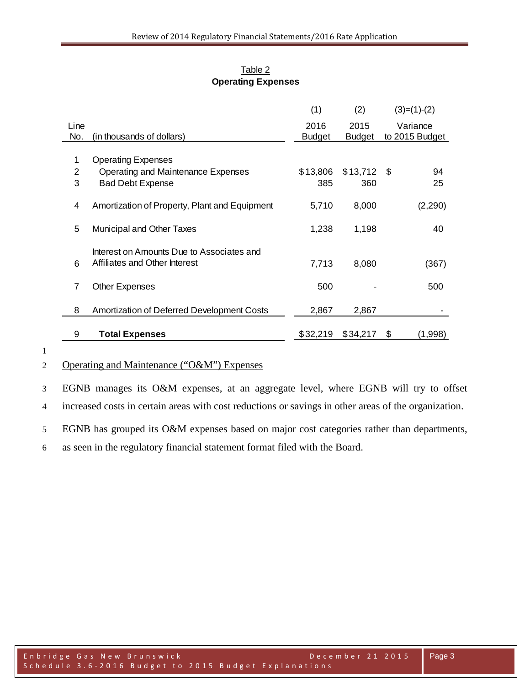|                |                                                   | (1)           | (2)           | $(3)=(1)-(2)$  |
|----------------|---------------------------------------------------|---------------|---------------|----------------|
| Line           |                                                   | 2016          | 2015          | Variance       |
| No.            | (in thousands of dollars)                         | <b>Budget</b> | <b>Budget</b> | to 2015 Budget |
| 1              | <b>Operating Expenses</b>                         |               |               |                |
| $\overline{2}$ | Operating and Maintenance Expenses                | \$13,806      | \$13,712      | - \$<br>94     |
| 3              | <b>Bad Debt Expense</b>                           | 385           | 360           | 25             |
|                |                                                   |               |               |                |
| 4              | Amortization of Property, Plant and Equipment     | 5,710         | 8,000         | (2,290)        |
|                |                                                   |               |               |                |
| 5              | Municipal and Other Taxes                         | 1,238         | 1,198         | 40             |
|                |                                                   |               |               |                |
|                | Interest on Amounts Due to Associates and         |               |               |                |
| 6              | Affiliates and Other Interest                     | 7,713         | 8,080         | (367)          |
|                |                                                   |               |               |                |
| 7              | <b>Other Expenses</b>                             | 500           |               | 500            |
|                |                                                   |               |               |                |
| 8              | <b>Amortization of Deferred Development Costs</b> | 2,867         | 2,867         |                |
|                |                                                   |               |               |                |
| 9              | <b>Total Expenses</b>                             | \$32,219      | \$34,217      | (1,998)<br>\$  |

### Table 2 **Operating Expenses**

1

## 2 Operating and Maintenance ("O&M") Expenses

3 EGNB manages its O&M expenses, at an aggregate level, where EGNB will try to offset 4 increased costs in certain areas with cost reductions or savings in other areas of the organization.

5 EGNB has grouped its O&M expenses based on major cost categories rather than departments,

6 as seen in the regulatory financial statement format filed with the Board.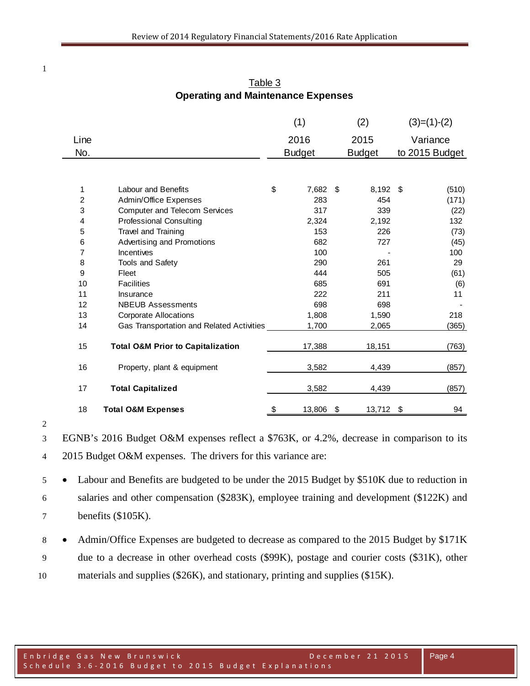| Line           |                                              |                           | (1)<br>2016   | (2)<br>2015     | $(3)=(1)-(2)$<br>Variance |
|----------------|----------------------------------------------|---------------------------|---------------|-----------------|---------------------------|
| No.            |                                              |                           | <b>Budget</b> | <b>Budget</b>   | to 2015 Budget            |
|                |                                              |                           |               |                 |                           |
|                |                                              |                           |               |                 |                           |
| 1              | Labour and Benefits                          | \$                        | 7,682 \$      | 8,192 \$        | (510)                     |
| $\overline{c}$ | Admin/Office Expenses                        |                           | 283           | 454             | (171)                     |
| 3              | <b>Computer and Telecom Services</b>         |                           | 317           | 339             | (22)                      |
| 4              | <b>Professional Consulting</b>               |                           | 2,324         | 2,192           | 132                       |
| 5              | Travel and Training                          |                           | 153           | 226             | (73)                      |
| 6              | Advertising and Promotions                   |                           | 682           | 727             | (45)                      |
| 7              | Incentives                                   |                           | 100           |                 | 100                       |
| 8              | <b>Tools and Safety</b>                      |                           | 290           | 261             | 29                        |
| 9              | Fleet                                        |                           | 444           | 505             | (61)                      |
| 10             | <b>Facilities</b>                            |                           | 685           | 691             | (6)                       |
| 11             | Insurance                                    |                           | 222           | 211             | 11                        |
| 12             | <b>NBEUB Assessments</b>                     |                           | 698           | 698             |                           |
| 13             | <b>Corporate Allocations</b>                 |                           | 1,808         | 1,590           | 218                       |
| 14             | Gas Transportation and Related Activities    |                           | 1,700         | 2,065           | (365)                     |
| 15             | <b>Total O&amp;M Prior to Capitalization</b> |                           | 17,388        | 18,151          | (763)                     |
| 16             | Property, plant & equipment                  |                           | 3,582         | 4,439           | (857)                     |
| 17             | <b>Total Capitalized</b>                     |                           | 3,582         | 4,439           | (857)                     |
| 18             | <b>Total O&amp;M Expenses</b>                | $\boldsymbol{\mathsf{S}}$ | 13,806        | \$<br>13,712 \$ | 94                        |

Table 3 **Operating and Maintenance Expenses**

 EGNB's 2016 Budget O&M expenses reflect a \$763K, or 4.2%, decrease in comparison to its 2015 Budget O&M expenses. The drivers for this variance are:

 • Labour and Benefits are budgeted to be under the 2015 Budget by \$510K due to reduction in salaries and other compensation (\$283K), employee training and development (\$122K) and benefits (\$105K).

8 • Admin/Office Expenses are budgeted to decrease as compared to the 2015 Budget by \$171K due to a decrease in other overhead costs (\$99K), postage and courier costs (\$31K), other materials and supplies (\$26K), and stationary, printing and supplies (\$15K).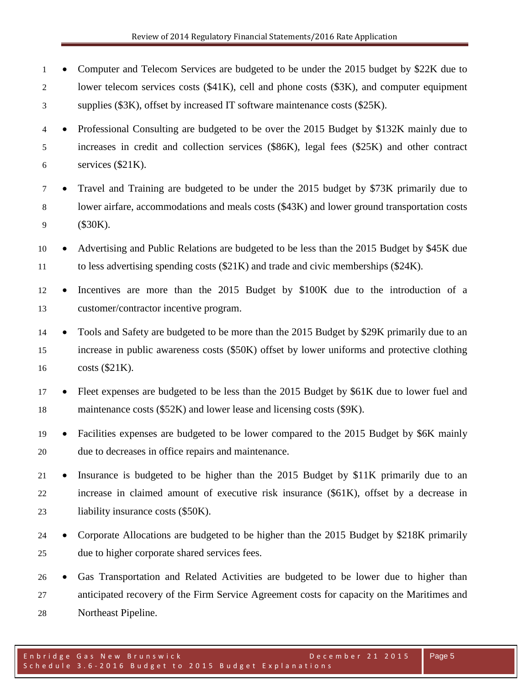- Computer and Telecom Services are budgeted to be under the 2015 budget by \$22K due to lower telecom services costs (\$41K), cell and phone costs (\$3K), and computer equipment supplies (\$3K), offset by increased IT software maintenance costs (\$25K).
- Professional Consulting are budgeted to be over the 2015 Budget by \$132K mainly due to increases in credit and collection services (\$86K), legal fees (\$25K) and other contract  $6 \qquad$  services (\$21K).
- Travel and Training are budgeted to be under the 2015 budget by \$73K primarily due to lower airfare, accommodations and meals costs (\$43K) and lower ground transportation costs (\$30K).
- Advertising and Public Relations are budgeted to be less than the 2015 Budget by \$45K due to less advertising spending costs (\$21K) and trade and civic memberships (\$24K).
- Incentives are more than the 2015 Budget by \$100K due to the introduction of a customer/contractor incentive program.
- Tools and Safety are budgeted to be more than the 2015 Budget by \$29K primarily due to an increase in public awareness costs (\$50K) offset by lower uniforms and protective clothing costs (\$21K).
- Fleet expenses are budgeted to be less than the 2015 Budget by \$61K due to lower fuel and 18 maintenance costs (\$52K) and lower lease and licensing costs (\$9K).
- Facilities expenses are budgeted to be lower compared to the 2015 Budget by \$6K mainly due to decreases in office repairs and maintenance.
- Insurance is budgeted to be higher than the 2015 Budget by \$11K primarily due to an increase in claimed amount of executive risk insurance (\$61K), offset by a decrease in 23 liability insurance costs (\$50K).
- Corporate Allocations are budgeted to be higher than the 2015 Budget by \$218K primarily due to higher corporate shared services fees.
- Gas Transportation and Related Activities are budgeted to be lower due to higher than anticipated recovery of the Firm Service Agreement costs for capacity on the Maritimes and Northeast Pipeline.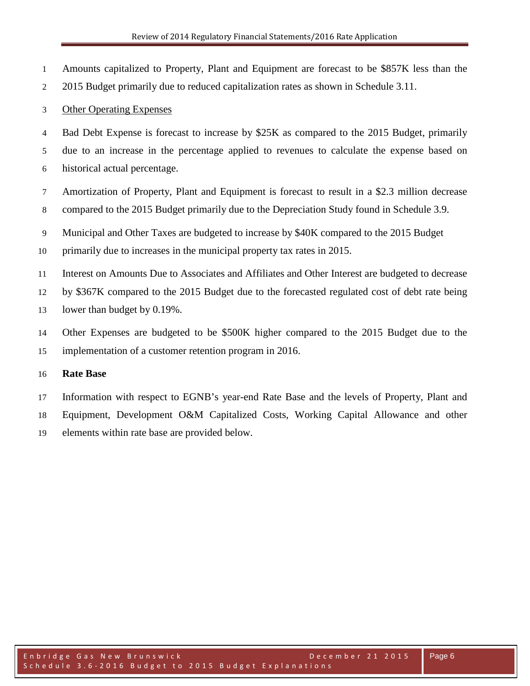Amounts capitalized to Property, Plant and Equipment are forecast to be \$857K less than the

2015 Budget primarily due to reduced capitalization rates as shown in Schedule 3.11.

## Other Operating Expenses

Bad Debt Expense is forecast to increase by \$25K as compared to the 2015 Budget, primarily

 due to an increase in the percentage applied to revenues to calculate the expense based on historical actual percentage.

 Amortization of Property, Plant and Equipment is forecast to result in a \$2.3 million decrease compared to the 2015 Budget primarily due to the Depreciation Study found in Schedule 3.9.

Municipal and Other Taxes are budgeted to increase by \$40K compared to the 2015 Budget

primarily due to increases in the municipal property tax rates in 2015.

Interest on Amounts Due to Associates and Affiliates and Other Interest are budgeted to decrease

by \$367K compared to the 2015 Budget due to the forecasted regulated cost of debt rate being

13 lower than budget by 0.19%.

 Other Expenses are budgeted to be \$500K higher compared to the 2015 Budget due to the implementation of a customer retention program in 2016.

## **Rate Base**

 Information with respect to EGNB's year-end Rate Base and the levels of Property, Plant and Equipment, Development O&M Capitalized Costs, Working Capital Allowance and other elements within rate base are provided below.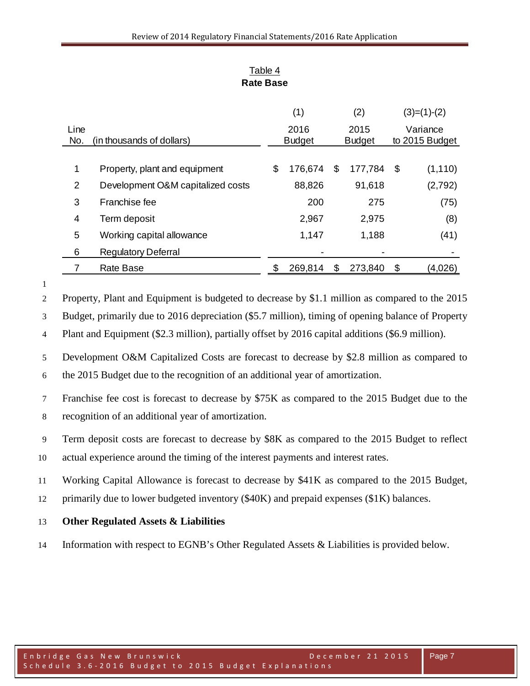|      |                                   | (1)           |     | (2)           |    | $(3)=(1)-(2)$  |
|------|-----------------------------------|---------------|-----|---------------|----|----------------|
| Line |                                   | 2016          |     | 2015          |    | Variance       |
| No.  | (in thousands of dollars)         | <b>Budget</b> |     | <b>Budget</b> |    | to 2015 Budget |
|      |                                   |               |     |               |    |                |
| 1    | Property, plant and equipment     | \$<br>176,674 | \$. | 177,784       | \$ | (1, 110)       |
| 2    | Development O&M capitalized costs | 88,826        |     | 91,618        |    | (2,792)        |
| 3    | Franchise fee                     | 200           |     | 275           |    | (75)           |
| 4    | Term deposit                      | 2,967         |     | 2,975         |    | (8)            |
| 5    | Working capital allowance         | 1,147         |     | 1,188         |    | (41)           |
| 6    | <b>Regulatory Deferral</b>        |               |     |               |    |                |
|      | Rate Base                         | 269,814       | \$  | 273,840       | \$ | (4,026)        |

## Table 4 **Rate Base**

Property, Plant and Equipment is budgeted to decrease by \$1.1 million as compared to the 2015

Budget, primarily due to 2016 depreciation (\$5.7 million), timing of opening balance of Property

Plant and Equipment (\$2.3 million), partially offset by 2016 capital additions (\$6.9 million).

 Development O&M Capitalized Costs are forecast to decrease by \$2.8 million as compared to the 2015 Budget due to the recognition of an additional year of amortization.

 Franchise fee cost is forecast to decrease by \$75K as compared to the 2015 Budget due to the recognition of an additional year of amortization.

Term deposit costs are forecast to decrease by \$8K as compared to the 2015 Budget to reflect

actual experience around the timing of the interest payments and interest rates.

Working Capital Allowance is forecast to decrease by \$41K as compared to the 2015 Budget,

primarily due to lower budgeted inventory (\$40K) and prepaid expenses (\$1K) balances.

## **Other Regulated Assets & Liabilities**

Information with respect to EGNB's Other Regulated Assets & Liabilities is provided below.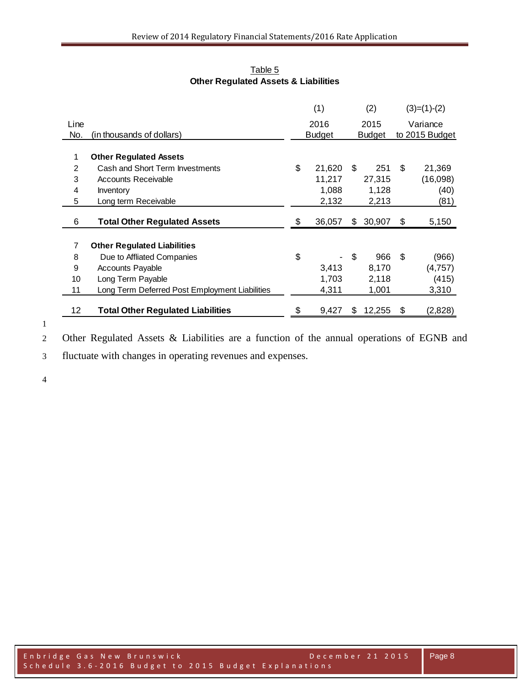|      |                                                | (1)           |     | (2)    | $(3)=(1)-(2)$  |
|------|------------------------------------------------|---------------|-----|--------|----------------|
| Line |                                                | 2016          |     | 2015   | Variance       |
| No.  | (in thousands of dollars)                      | <b>Budget</b> |     | Budget | to 2015 Budget |
|      |                                                |               |     |        |                |
| 1    | <b>Other Regulated Assets</b>                  |               |     |        |                |
| 2    | Cash and Short Term Investments                | \$<br>21,620  | \$. | 251    | \$<br>21,369   |
| 3    | <b>Accounts Receivable</b>                     | 11,217        |     | 27,315 | (16,098)       |
| 4    | Inventory                                      | 1,088         |     | 1,128  | (40)           |
| 5    | Long term Receivable                           | 2,132         |     | 2,213  | (81)           |
| 6    | <b>Total Other Regulated Assets</b>            | \$<br>36,057  | S   | 30,907 | \$<br>5,150    |
|      |                                                |               |     |        |                |
| 7    | <b>Other Regulated Liabilities</b>             |               |     |        |                |
| 8    | Due to Affliated Companies                     | \$            | \$  | 966    | \$<br>(966)    |
| 9    | <b>Accounts Payable</b>                        | 3,413         |     | 8,170  | (4, 757)       |
| 10   | Long Term Payable                              | 1,703         |     | 2,118  | (415)          |
| 11   | Long Term Deferred Post Employment Liabilities | 4,311         |     | 1,001  | 3,310          |
| 12   | <b>Total Other Regulated Liabilities</b>       | \$<br>9,427   | S   | 12,255 | \$<br>(2,828)  |

Table 5 **Other Regulated Assets & Liabilities**

Other Regulated Assets & Liabilities are a function of the annual operations of EGNB and

fluctuate with changes in operating revenues and expenses.